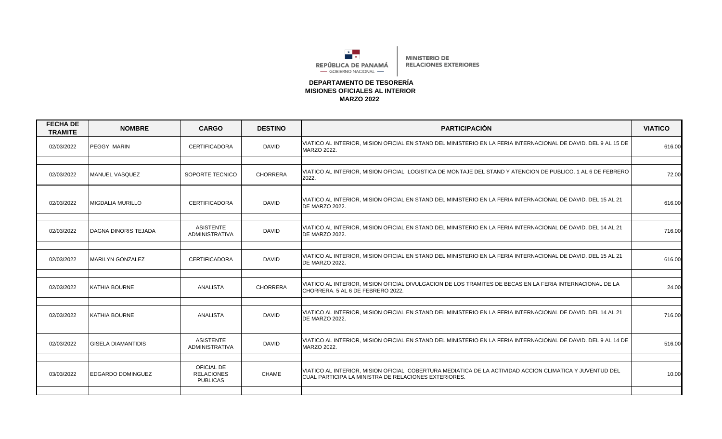

**MINISTERIO DE RELACIONES EXTERIORES** 

## **DEPARTAMENTO DE TESORERÍA MISIONES OFICIALES AL INTERIOR MARZO 2022**

| <b>FECHA DE</b><br><b>TRAMITE</b> | <b>NOMBRE</b>               | <b>CARGO</b>                                       | <b>DESTINO</b>  | <b>PARTICIPACIÓN</b>                                                                                                                                            | <b>VIATICO</b> |
|-----------------------------------|-----------------------------|----------------------------------------------------|-----------------|-----------------------------------------------------------------------------------------------------------------------------------------------------------------|----------------|
| 02/03/2022                        | <b>PEGGY MARIN</b>          | <b>CERTIFICADORA</b>                               | <b>DAVID</b>    | VIATICO AL INTERIOR, MISION OFICIAL EN STAND DEL MINISTERIO EN LA FERIA INTERNACIONAL DE DAVID. DEL 9 AL 15 DE<br><b>MARZO 2022.</b>                            | 616.00         |
|                                   |                             |                                                    |                 |                                                                                                                                                                 |                |
| 02/03/2022                        | MANUEL VASQUEZ              | SOPORTE TECNICO                                    | <b>CHORRERA</b> | VIATICO AL INTERIOR, MISION OFICIAL LOGISTICA DE MONTAJE DEL STAND Y ATENCION DE PUBLICO. 1 AL 6 DE FEBRERO<br>2022.                                            | 72.00          |
|                                   |                             |                                                    |                 |                                                                                                                                                                 |                |
| 02/03/2022                        | <b>MIGDALIA MURILLO</b>     | <b>CERTIFICADORA</b>                               | <b>DAVID</b>    | VIATICO AL INTERIOR, MISION OFICIAL EN STAND DEL MINISTERIO EN LA FERIA INTERNACIONAL DE DAVID. DEL 15 AL 21<br>DE MARZO 2022.                                  | 616.00         |
|                                   |                             |                                                    |                 |                                                                                                                                                                 |                |
| 02/03/2022                        | <b>DAGNA DINORIS TEJADA</b> | <b>ASISTENTE</b><br><b>ADMINISTRATIVA</b>          | <b>DAVID</b>    | VIATICO AL INTERIOR, MISION OFICIAL EN STAND DEL MINISTERIO EN LA FERIA INTERNACIONAL DE DAVID. DEL 14 AL 21<br>DE MARZO 2022.                                  | 716.00         |
|                                   |                             |                                                    |                 |                                                                                                                                                                 |                |
| 02/03/2022                        | <b>MARILYN GONZALEZ</b>     | <b>CERTIFICADORA</b>                               | <b>DAVID</b>    | VIATICO AL INTERIOR, MISION OFICIAL EN STAND DEL MINISTERIO EN LA FERIA INTERNACIONAL DE DAVID. DEL 15 AL 21<br>DE MARZO 2022.                                  | 616.00         |
|                                   |                             |                                                    |                 |                                                                                                                                                                 |                |
| 02/03/2022                        | <b>KATHIA BOURNE</b>        | ANALISTA                                           | <b>CHORRERA</b> | VIATICO AL INTERIOR, MISION OFICIAL DIVULGACION DE LOS TRAMITES DE BECAS EN LA FERIA INTERNACIONAL DE LA<br>CHORRERA. 5 AL 6 DE FEBRERO 2022.                   | 24.00          |
|                                   |                             |                                                    |                 |                                                                                                                                                                 |                |
| 02/03/2022                        | KATHIA BOURNE               | ANALISTA                                           | <b>DAVID</b>    | VIATICO AL INTERIOR, MISION OFICIAL EN STAND DEL MINISTERIO EN LA FERIA INTERNACIONAL DE DAVID. DEL 14 AL 21<br>DE MARZO 2022.                                  | 716.00         |
|                                   |                             |                                                    |                 |                                                                                                                                                                 |                |
| 02/03/2022                        | <b>GISELA DIAMANTIDIS</b>   | <b>ASISTENTE</b><br><b>ADMINISTRATIVA</b>          | <b>DAVID</b>    | VIATICO AL INTERIOR, MISION OFICIAL EN STAND DEL MINISTERIO EN LA FERIA INTERNACIONAL DE DAVID. DEL 9 AL 14 DE<br>MARZO 2022.                                   | 516.00         |
|                                   |                             |                                                    |                 |                                                                                                                                                                 |                |
| 03/03/2022                        | EDGARDO DOMINGUEZ           | OFICIAL DE<br><b>RELACIONES</b><br><b>PUBLICAS</b> | CHAME           | VIATICO AL INTERIOR, MISION OFICIAL COBERTURA MEDIATICA DE LA ACTIVIDAD ACCION CLIMATICA Y JUVENTUD DEL<br>CUAL PARTICIPA LA MINISTRA DE RELACIONES EXTERIORES. | 10.00          |
|                                   |                             |                                                    |                 |                                                                                                                                                                 |                |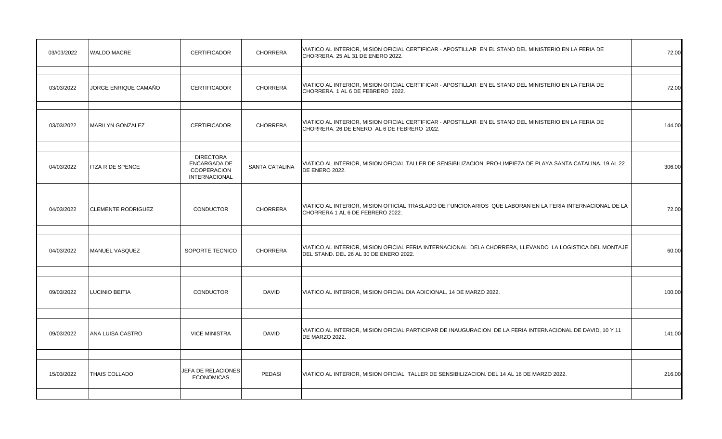| 03//03/2022 | <b>WALDO MACRE</b>        | <b>CERTIFICADOR</b>                                                                   | <b>CHORRERA</b>       | VIATICO AL INTERIOR, MISION OFICIAL CERTIFICAR - APOSTILLAR EN EL STAND DEL MINISTERIO EN LA FERIA DE<br>CHORRERA. 25 AL 31 DE ENERO 2022.           | 72.00  |
|-------------|---------------------------|---------------------------------------------------------------------------------------|-----------------------|------------------------------------------------------------------------------------------------------------------------------------------------------|--------|
| 03/03/2022  | JORGE ENRIQUE CAMAÑO      | <b>CERTIFICADOR</b>                                                                   | <b>CHORRERA</b>       | VIATICO AL INTERIOR, MISION OFICIAL CERTIFICAR - APOSTILLAR EN EL STAND DEL MINISTERIO EN LA FERIA DE<br>CHORRERA. 1 AL 6 DE FEBRERO 2022.           | 72.00  |
| 03/03/2022  | MARILYN GONZALEZ          | <b>CERTIFICADOR</b>                                                                   | <b>CHORRERA</b>       | VIATICO AL INTERIOR, MISION OFICIAL CERTIFICAR - APOSTILLAR EN EL STAND DEL MINISTERIO EN LA FERIA DE<br>CHORRERA. 26 DE ENERO AL 6 DE FEBRERO 2022. | 144.00 |
| 04/03/2022  | <b>ITZA R DE SPENCE</b>   | <b>DIRECTORA</b><br><b>ENCARGADA DE</b><br><b>COOPERACION</b><br><b>INTERNACIONAL</b> | <b>SANTA CATALINA</b> | VIATICO AL INTERIOR, MISION OFICIAL TALLER DE SENSIBILIZACION PRO-LIMPIEZA DE PLAYA SANTA CATALINA. 19 AL 22<br>DE ENERO 2022.                       | 306.00 |
| 04/03/2022  | <b>CLEMENTE RODRIGUEZ</b> | <b>CONDUCTOR</b>                                                                      | <b>CHORRERA</b>       | VIATICO AL INTERIOR, MISION OFIICIAL TRASLADO DE FUNCIONARIOS QUE LABORAN EN LA FERIA INTERNACIONAL DE LA<br>CHORRERA 1 AL 6 DE FEBRERO 2022.        | 72.00  |
| 04/03/2022  | MANUEL VASQUEZ            | SOPORTE TECNICO                                                                       | <b>CHORRERA</b>       | VIATICO AL INTERIOR, MISION OFICIAL FERIA INTERNACIONAL DELA CHORRERA, LLEVANDO LA LOGISTICA DEL MONTAJE<br>DEL STAND. DEL 26 AL 30 DE ENERO 2022.   | 60.00  |
| 09/03/2022  | <b>LUCINIO BEITIA</b>     | <b>CONDUCTOR</b>                                                                      | <b>DAVID</b>          | VIATICO AL INTERIOR, MISION OFICIAL DIA ADICIONAL. 14 DE MARZO 2022.                                                                                 | 100.00 |
| 09/03/2022  | ANA LUISA CASTRO          | <b>VICE MINISTRA</b>                                                                  | <b>DAVID</b>          | VIATICO AL INTERIOR, MISION OFICIAL PARTICIPAR DE INAUGURACION DE LA FERIA INTERNACIONAL DE DAVID, 10 Y 11<br>DE MARZO 2022.                         | 141.00 |
| 15/03/2022  | <b>THAIS COLLADO</b>      | <b>JEFA DE RELACIONES</b><br><b>ECONOMICAS</b>                                        | PEDASI                | VIATICO AL INTERIOR, MISION OFICIAL TALLER DE SENSIBILIZACION. DEL 14 AL 16 DE MARZO 2022.                                                           | 216.00 |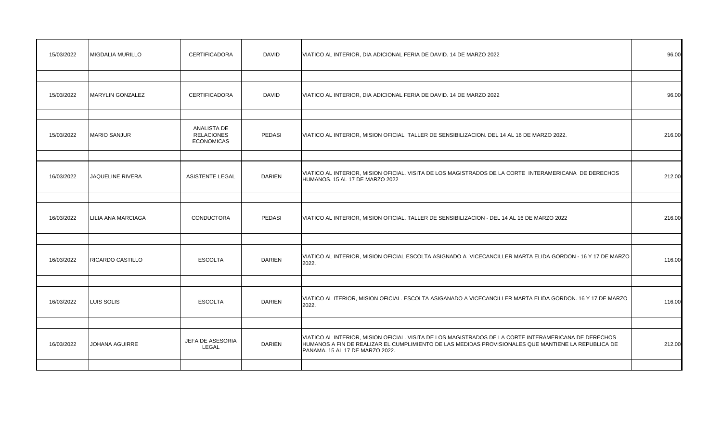| 15/03/2022 | <b>MIGDALIA MURILLO</b>   | <b>CERTIFICADORA</b>                                  | <b>DAVID</b>  | VIATICO AL INTERIOR, DIA ADICIONAL FERIA DE DAVID. 14 DE MARZO 2022                                                                                                                                                                             | 96.00  |
|------------|---------------------------|-------------------------------------------------------|---------------|-------------------------------------------------------------------------------------------------------------------------------------------------------------------------------------------------------------------------------------------------|--------|
|            |                           |                                                       |               |                                                                                                                                                                                                                                                 |        |
| 15/03/2022 | <b>MARYLIN GONZALEZ</b>   | <b>CERTIFICADORA</b>                                  | <b>DAVID</b>  | VIATICO AL INTERIOR, DIA ADICIONAL FERIA DE DAVID. 14 DE MARZO 2022                                                                                                                                                                             | 96.00  |
|            |                           |                                                       |               |                                                                                                                                                                                                                                                 |        |
| 15/03/2022 | <b>MARIO SANJUR</b>       | ANALISTA DE<br><b>RELACIONES</b><br><b>ECONOMICAS</b> | PEDASI        | VIATICO AL INTERIOR, MISION OFICIAL TALLER DE SENSIBILIZACION. DEL 14 AL 16 DE MARZO 2022.                                                                                                                                                      | 216.00 |
|            |                           |                                                       |               |                                                                                                                                                                                                                                                 |        |
| 16/03/2022 | JAQUELINE RIVERA          | <b>ASISTENTE LEGAL</b>                                | <b>DARIEN</b> | VIATICO AL INTERIOR, MISION OFICIAL. VISITA DE LOS MAGISTRADOS DE LA CORTE INTERAMERICANA DE DERECHOS<br>HUMANOS. 15 AL 17 DE MARZO 2022                                                                                                        | 212.00 |
|            |                           |                                                       |               |                                                                                                                                                                                                                                                 |        |
| 16/03/2022 | <b>LILIA ANA MARCIAGA</b> | <b>CONDUCTORA</b>                                     | PEDASI        | VIATICO AL INTERIOR, MISION OFICIAL. TALLER DE SENSIBILIZACION - DEL 14 AL 16 DE MARZO 2022                                                                                                                                                     | 216.00 |
|            |                           |                                                       |               |                                                                                                                                                                                                                                                 |        |
| 16/03/2022 | <b>RICARDO CASTILLO</b>   | <b>ESCOLTA</b>                                        | <b>DARIEN</b> | VIATICO AL INTERIOR, MISION OFICIAL ESCOLTA ASIGNADO A VICECANCILLER MARTA ELIDA GORDON - 16 Y 17 DE MARZO<br>2022.                                                                                                                             | 116.00 |
|            |                           |                                                       |               |                                                                                                                                                                                                                                                 |        |
| 16/03/2022 | LUIS SOLIS                | <b>ESCOLTA</b>                                        | <b>DARIEN</b> | VIATICO AL ITERIOR, MISION OFICIAL. ESCOLTA ASIGANADO A VICECANCILLER MARTA ELIDA GORDON. 16 Y 17 DE MARZO<br>2022.                                                                                                                             | 116.00 |
|            |                           |                                                       |               |                                                                                                                                                                                                                                                 |        |
| 16/03/2022 | <b>JOHANA AGUIRRE</b>     | JEFA DE ASESORIA<br>LEGAL                             | <b>DARIEN</b> | VIATICO AL INTERIOR, MISION OFICIAL. VISITA DE LOS MAGISTRADOS DE LA CORTE INTERAMERICANA DE DERECHOS<br>HUMANOS A FIN DE REALIZAR EL CUMPLIMIENTO DE LAS MEDIDAS PROVISIONALES QUE MANTIENE LA REPUBLICA DE<br>PANAMA. 15 AL 17 DE MARZO 2022. | 212.00 |
|            |                           |                                                       |               |                                                                                                                                                                                                                                                 |        |
|            |                           |                                                       |               |                                                                                                                                                                                                                                                 |        |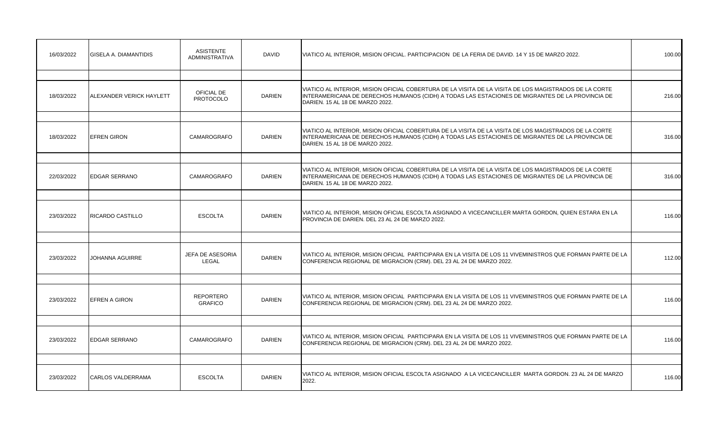| 16/03/2022 | GISELA A. DIAMANTIDIS    | <b>ASISTENTE</b><br><b>ADMINISTRATIVA</b> | <b>DAVID</b>  | VIATICO AL INTERIOR, MISION OFICIAL. PARTICIPACION DE LA FERIA DE DAVID. 14 Y 15 DE MARZO 2022.                                                                                                                                               | 100.00 |
|------------|--------------------------|-------------------------------------------|---------------|-----------------------------------------------------------------------------------------------------------------------------------------------------------------------------------------------------------------------------------------------|--------|
|            |                          |                                           |               |                                                                                                                                                                                                                                               |        |
| 18/03/2022 | ALEXANDER VERICK HAYLETT | OFICIAL DE<br><b>PROTOCOLO</b>            | <b>DARIEN</b> | VIATICO AL INTERIOR, MISION OFICIAL COBERTURA DE LA VISITA DE LA VISITA DE LOS MAGISTRADOS DE LA CORTE<br>INTERAMERICANA DE DERECHOS HUMANOS (CIDH) A TODAS LAS ESTACIONES DE MIGRANTES DE LA PROVINCIA DE<br>DARIEN. 15 AL 18 DE MARZO 2022. | 216.00 |
|            |                          |                                           |               |                                                                                                                                                                                                                                               |        |
| 18/03/2022 | <b>EFREN GIRON</b>       | <b>CAMAROGRAFO</b>                        | <b>DARIEN</b> | VIATICO AL INTERIOR, MISION OFICIAL COBERTURA DE LA VISITA DE LA VISITA DE LOS MAGISTRADOS DE LA CORTE<br>INTERAMERICANA DE DERECHOS HUMANOS (CIDH) A TODAS LAS ESTACIONES DE MIGRANTES DE LA PROVINCIA DE<br>DARIEN. 15 AL 18 DE MARZO 2022. | 316.00 |
|            |                          |                                           |               |                                                                                                                                                                                                                                               |        |
| 22/03/2022 | <b>EDGAR SERRANO</b>     | CAMAROGRAFO                               | <b>DARIEN</b> | VIATICO AL INTERIOR, MISION OFICIAL COBERTURA DE LA VISITA DE LA VISITA DE LOS MAGISTRADOS DE LA CORTE<br>INTERAMERICANA DE DERECHOS HUMANOS (CIDH) A TODAS LAS ESTACIONES DE MIGRANTES DE LA PROVINCIA DE<br>DARIEN. 15 AL 18 DE MARZO 2022. | 316.00 |
|            |                          |                                           |               |                                                                                                                                                                                                                                               |        |
| 23/03/2022 | <b>RICARDO CASTILLO</b>  | <b>ESCOLTA</b>                            | <b>DARIEN</b> | VIATICO AL INTERIOR, MISION OFICIAL ESCOLTA ASIGNADO A VICECANCILLER MARTA GORDON, QUIEN ESTARA EN LA<br>PROVINCIA DE DARIEN. DEL 23 AL 24 DE MARZO 2022.                                                                                     | 116.00 |
|            |                          |                                           |               |                                                                                                                                                                                                                                               |        |
| 23/03/2022 | <b>JOHANNA AGUIRRE</b>   | <b>JEFA DE ASESORIA</b><br>LEGAL          | <b>DARIEN</b> | VIATICO AL INTERIOR, MISION OFICIAL PARTICIPARA EN LA VISITA DE LOS 11 VIVEMINISTROS QUE FORMAN PARTE DE LA<br>CONFERENCIA REGIONAL DE MIGRACION (CRM). DEL 23 AL 24 DE MARZO 2022.                                                           | 112.00 |
|            |                          |                                           |               |                                                                                                                                                                                                                                               |        |
| 23/03/2022 | <b>EFREN A GIRON</b>     | <b>REPORTERO</b><br><b>GRAFICO</b>        | <b>DARIEN</b> | VIATICO AL INTERIOR, MISION OFICIAL PARTICIPARA EN LA VISITA DE LOS 11 VIVEMINISTROS QUE FORMAN PARTE DE LA<br>CONFERENCIA REGIONAL DE MIGRACION (CRM). DEL 23 AL 24 DE MARZO 2022.                                                           | 116.00 |
|            |                          |                                           |               |                                                                                                                                                                                                                                               |        |
| 23/03/2022 | <b>EDGAR SERRANO</b>     | <b>CAMAROGRAFO</b>                        | <b>DARIEN</b> | VIATICO AL INTERIOR, MISION OFICIAL PARTICIPARA EN LA VISITA DE LOS 11 VIVEMINISTROS QUE FORMAN PARTE DE LA<br>CONFERENCIA REGIONAL DE MIGRACION (CRM). DEL 23 AL 24 DE MARZO 2022.                                                           | 116.00 |
|            |                          |                                           |               |                                                                                                                                                                                                                                               |        |
| 23/03/2022 | CARLOS VALDERRAMA        | <b>ESCOLTA</b>                            | <b>DARIEN</b> | VIATICO AL INTERIOR, MISION OFICIAL ESCOLTA ASIGNADO A LA VICECANCILLER MARTA GORDON. 23 AL 24 DE MARZO<br>2022.                                                                                                                              | 116.00 |